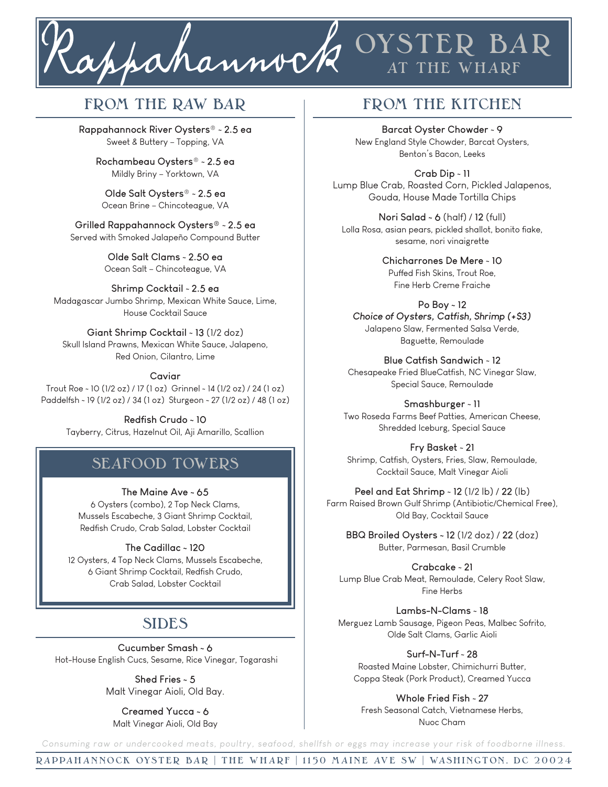

## FROM THE RAW BAR **FROM THE KITCHEN**

**Rappahannock River Oysters**® ~ **2.5 ea** Sweet & Buttery – Topping, VA

**Rochambeau Oysters**® ~ **2.5 ea** Mildly Briny – Yorktown, VA

**Olde Salt Oysters**® ~ **2.5 ea** Ocean Brine – Chincoteague, VA

**Grilled Rappahannock Oysters®** ~ **2.5 ea** Served with Smoked Jalapeño Compound Butter

> **Olde Salt Clams** ~ **2.50 ea** Ocean Salt – Chincoteague, VA

**Shrimp Cocktail** ~ **2.5 ea** Madagascar Jumbo Shrimp, Mexican White Sauce, Lime, House Cocktail Sauce

**Giant Shrimp Cocktail** ~ **13** (1/2 doz) Skull Island Prawns, Mexican White Sauce, Jalapeno, Red Onion, Cilantro, Lime

#### **Caviar**

Trout Roe ~ 10 (1/2 oz) / 17 (1 oz) Grinnel ~ 14 (1/2 oz) / 24 (1 oz) Paddelfsh ~ 19 (1/2 oz) / 34 (1 oz) Sturgeon ~ 27 (1/2 oz) / 48 (1 oz)

> **Redfish Crudo ~ 10** Tayberry, Citrus, Hazelnut Oil, Aji Amarillo, Scallion

## **SEAFOOD TOWERS**

**The Maine Ave ~ 65** 6 Oysters (combo), 2 Top Neck Clams, Mussels Escabeche, 3 Giant Shrimp Cocktail, Redfish Crudo, Crab Salad, Lobster Cocktail

**The Cadillac ~ 120** 12 Oysters, 4 Top Neck Clams, Mussels Escabeche,

6 Giant Shrimp Cocktail, Redfish Crudo, Crab Salad, Lobster Cocktail

# **SIDES**

**Cucumber Smash ~ 6** Hot-House English Cucs, Sesame, Rice Vinegar, Togarashi

> **Shed Fries ~ 5** Malt Vinegar Aioli, Old Bay.

**Creamed Yucca ~ 6** Malt Vinegar Aioli, Old Bay

**OYSTER BAR**

**AT THE WHARF**

**Barcat Oyster Chowder** ~ **9** New England Style Chowder, Barcat Oysters, Benton's Bacon, Leeks

**Crab Dip** ~ **11** Lump Blue Crab, Roasted Corn, Pickled Jalapenos, Gouda, House Made Tortilla Chips

**Nori Salad ~ 6** (half) / **12** (full) Lolla Rosa, asian pears, pickled shallot, bonito fiake, sesame, nori vinaigrette

> **Chicharrones De Mere** ~ **10** Puffed Fish Skins, Trout Roe, Fine Herb Creme Fraiche

**Po Boy ~ 12** *Choice of Oysters, Catfish, Shrimp (+\$3)* Jalapeno Slaw, Fermented Salsa Verde, Baguette, Remoulade

**Blue Catfish Sandwich** ~ **12** Chesapeake Fried BlueCatfish, NC Vinegar Slaw, Special Sauce, Remoulade

**Smashburger** ~ **11** Two Roseda Farms Beef Patties, American Cheese, Shredded Iceburg, Special Sauce

**Fry Basket** ~ **21** Shrimp, Catfish, Oysters, Fries, Slaw, Remoulade, Cocktail Sauce, Malt Vinegar Aioli

**Peel and Eat Shrimp** ~ **12** (1/2 lb) / **22** (lb) Farm Raised Brown Gulf Shrimp (Antibiotic/Chemical Free), Old Bay, Cocktail Sauce

**BBQ Broiled Oysters ~ 12** (1/2 doz) / **22** (doz) Butter, Parmesan, Basil Crumble

**Crabcake** ~ **21** Lump Blue Crab Meat, Remoulade, Celery Root Slaw, Fine Herbs

**Lambs-N-Clams** ~ **18** Merguez Lamb Sausage, Pigeon Peas, Malbec Sofrito, Olde Salt Clams, Garlic Aioli

**Surf-N-Turf** ~ **28** Roasted Maine Lobster, Chimichurri Butter, Coppa Steak (Pork Product), Creamed Yucca

**Whole Fried Fish** ~ **27** Fresh Seasonal Catch, Vietnamese Herbs, Nuoc Cham

*Consuming raw or undercooked meats, poultry, seafood, shellfsh or eggs may increase your risk of foodborne illness.*